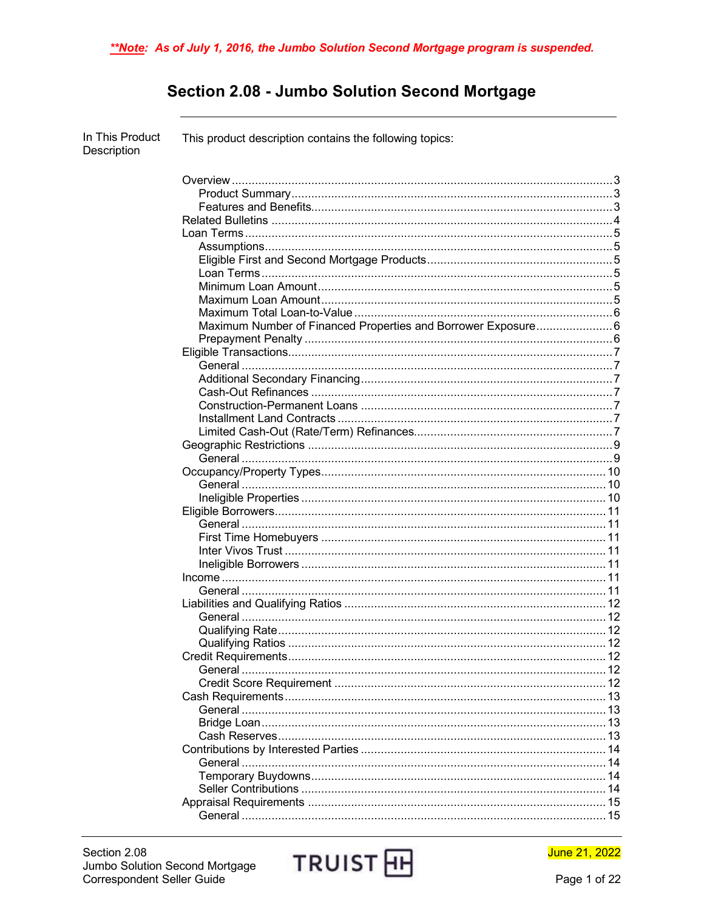# Section 2.08 - Jumbo Solution Second Mortgage

| In This Product<br>Description | This product description contains the following topics:       |  |
|--------------------------------|---------------------------------------------------------------|--|
|                                |                                                               |  |
|                                |                                                               |  |
|                                |                                                               |  |
|                                |                                                               |  |
|                                |                                                               |  |
|                                |                                                               |  |
|                                |                                                               |  |
|                                |                                                               |  |
|                                |                                                               |  |
|                                |                                                               |  |
|                                |                                                               |  |
|                                | Maximum Number of Financed Properties and Borrower Exposure 6 |  |
|                                |                                                               |  |
|                                |                                                               |  |
|                                |                                                               |  |
|                                |                                                               |  |
|                                |                                                               |  |
|                                |                                                               |  |
|                                |                                                               |  |
|                                |                                                               |  |
|                                |                                                               |  |
|                                |                                                               |  |
|                                |                                                               |  |
|                                |                                                               |  |
|                                |                                                               |  |
|                                |                                                               |  |
|                                |                                                               |  |
|                                |                                                               |  |
|                                |                                                               |  |
|                                |                                                               |  |
|                                |                                                               |  |
|                                |                                                               |  |
|                                |                                                               |  |
|                                |                                                               |  |
|                                |                                                               |  |
|                                |                                                               |  |
|                                |                                                               |  |
|                                |                                                               |  |
|                                |                                                               |  |
|                                |                                                               |  |
|                                |                                                               |  |
|                                |                                                               |  |
|                                |                                                               |  |
|                                |                                                               |  |
|                                |                                                               |  |
|                                |                                                               |  |
|                                |                                                               |  |
|                                |                                                               |  |
|                                |                                                               |  |

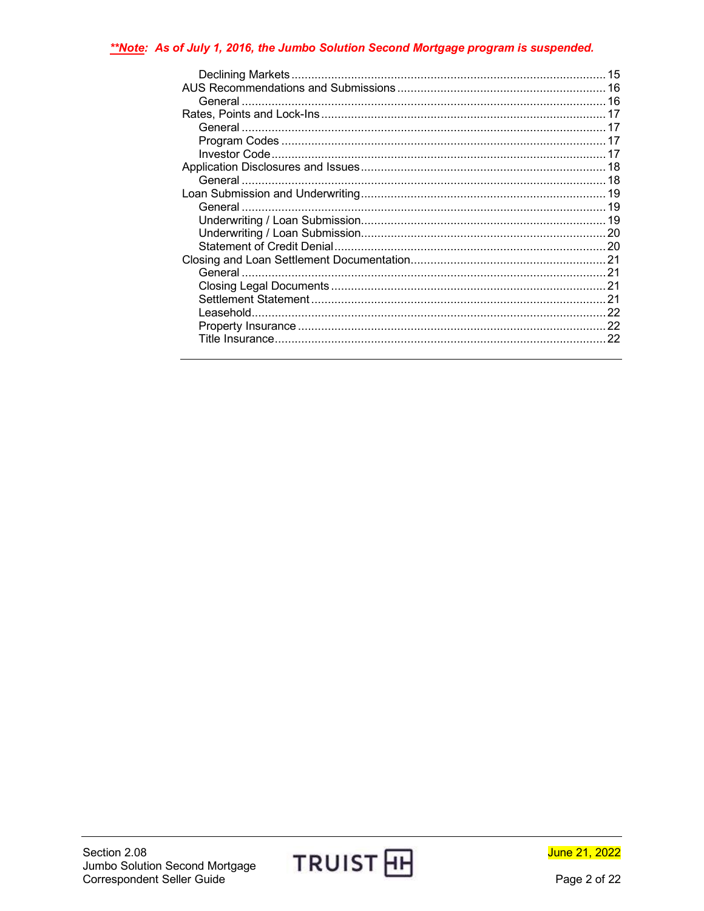### \*\*Note: As of July 1, 2016, the Jumbo Solution Second Mortgage program is suspended.

| 15 |
|----|
|    |
|    |
|    |
|    |
|    |
|    |
|    |
|    |
|    |
|    |
|    |
|    |
|    |
|    |
|    |
|    |
|    |
|    |
|    |
|    |
|    |

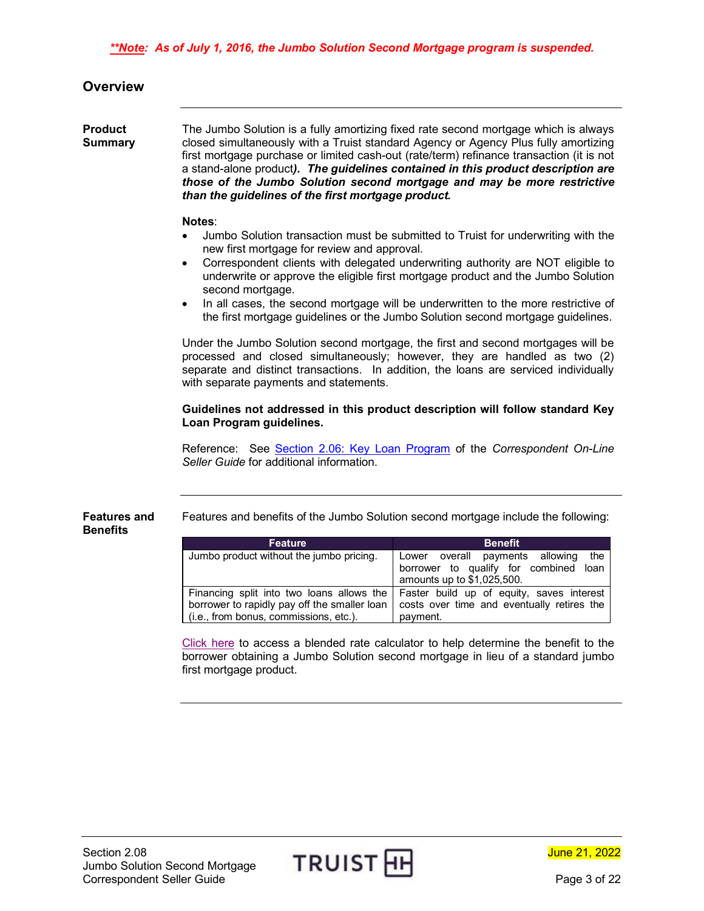<span id="page-2-0"></span>

| Overview |
|----------|
|          |

<span id="page-2-1"></span>**Product Summary** The Jumbo Solution is a fully amortizing fixed rate second mortgage which is always closed simultaneously with a Truist standard Agency or Agency Plus fully amortizing first mortgage purchase or limited cash-out (rate/term) refinance transaction (it is not a stand-alone product*). The guidelines contained in this product description are those of the Jumbo Solution second mortgage and may be more restrictive than the guidelines of the first mortgage product.* 

#### **Notes**:

- Jumbo Solution transaction must be submitted to Truist for underwriting with the new first mortgage for review and approval.
- Correspondent clients with delegated underwriting authority are NOT eligible to underwrite or approve the eligible first mortgage product and the Jumbo Solution second mortgage.
- In all cases, the second mortgage will be underwritten to the more restrictive of the first mortgage guidelines or the Jumbo Solution second mortgage guidelines.

Under the Jumbo Solution second mortgage, the first and second mortgages will be processed and closed simultaneously; however, they are handled as two (2) separate and distinct transactions. In addition, the loans are serviced individually with separate payments and statements.

#### **Guidelines not addressed in this product description will follow standard Key Loan Program guidelines.**

Reference: See [Section 2.06: Key Loan Program](https://www.truistsellerguide.com/manual/cor/products/ckey.pdf) of the *Correspondent On-Line Seller Guide* for additional information.

<span id="page-2-2"></span>**Features and Benefits** Features and benefits of the Jumbo Solution second mortgage include the following:

| <b>Feature</b>                               | <b>Benefit</b>                                                                      |
|----------------------------------------------|-------------------------------------------------------------------------------------|
| Jumbo product without the jumbo pricing.     | Lower overall payments allowing<br>the                                              |
|                                              | borrower to qualify for combined<br>loan                                            |
|                                              | amounts up to \$1,025,500.                                                          |
|                                              | Financing split into two loans allows the Faster build up of equity, saves interest |
| borrower to rapidly pay off the smaller loan | costs over time and eventually retires the                                          |
| (i.e., from bonus, commissions, etc.).       | payment.                                                                            |

[Click here](https://www.truistsellerguide.com/manual/cor/products/BlendedRateCalculator.pdf) to access a blended rate calculator to help determine the benefit to the borrower obtaining a Jumbo Solution second mortgage in lieu of a standard jumbo first mortgage product.

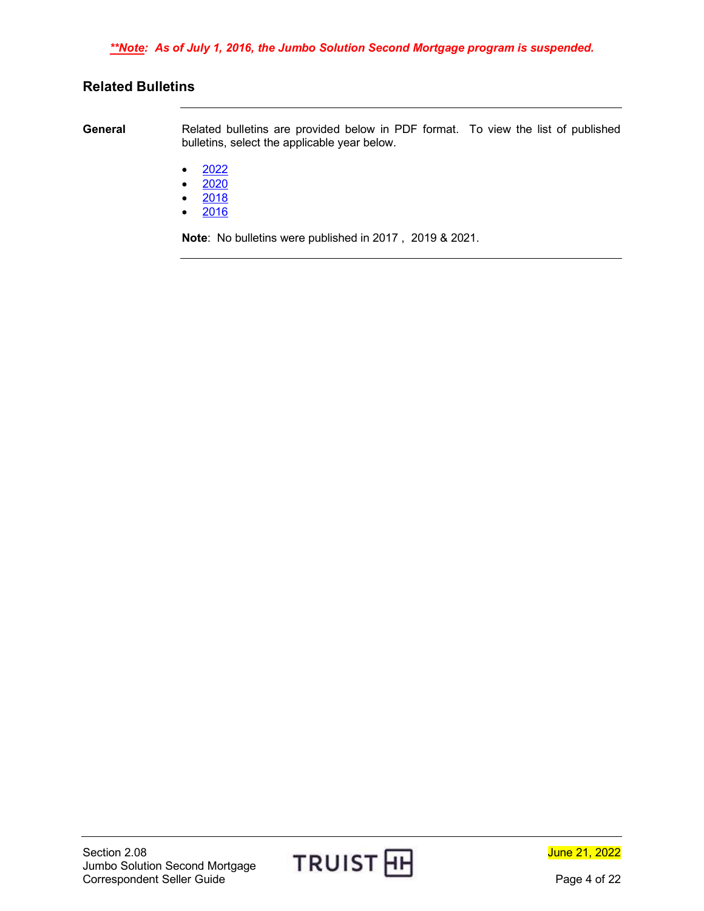### <span id="page-3-0"></span>**Related Bulletins**

**General** Related bulletins are provided below in PDF format. To view the list of published bulletins, select the applicable year below.

- $2022$  $2022$
- $2020$  $2020$
- [2018](https://www.truistsellerguide.com/manual/cor/bulletins/Related%20Bulletins/2018/CJumboSolution2018.pdf)
- [2016](https://www.truistsellerguide.com/manual/cor/bulletins/Related%20Bulletins/2016/CJumboSolution2016.pdf)

**Note**: No bulletins were published in 2017 , 2019 & 2021.

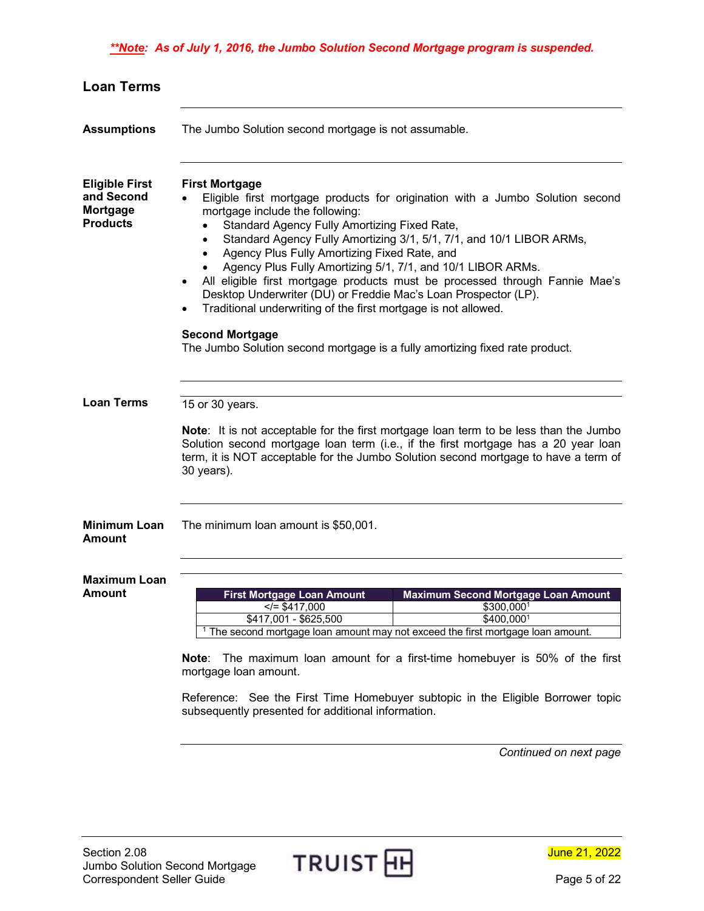<span id="page-4-3"></span><span id="page-4-2"></span><span id="page-4-1"></span><span id="page-4-0"></span>

| The Jumbo Solution second mortgage is not assumable.                                                                                                                                                                                                                                                                                                                                                                                                                                                                                                                                                                                                     |
|----------------------------------------------------------------------------------------------------------------------------------------------------------------------------------------------------------------------------------------------------------------------------------------------------------------------------------------------------------------------------------------------------------------------------------------------------------------------------------------------------------------------------------------------------------------------------------------------------------------------------------------------------------|
|                                                                                                                                                                                                                                                                                                                                                                                                                                                                                                                                                                                                                                                          |
| <b>First Mortgage</b><br>Eligible first mortgage products for origination with a Jumbo Solution second<br>mortgage include the following:<br>Standard Agency Fully Amortizing Fixed Rate,<br>Standard Agency Fully Amortizing 3/1, 5/1, 7/1, and 10/1 LIBOR ARMs,<br>$\bullet$<br>Agency Plus Fully Amortizing Fixed Rate, and<br>$\bullet$<br>Agency Plus Fully Amortizing 5/1, 7/1, and 10/1 LIBOR ARMs.<br>$\bullet$<br>All eligible first mortgage products must be processed through Fannie Mae's<br>Desktop Underwriter (DU) or Freddie Mac's Loan Prospector (LP).<br>Traditional underwriting of the first mortgage is not allowed.<br>$\bullet$ |
| <b>Second Mortgage</b><br>The Jumbo Solution second mortgage is a fully amortizing fixed rate product.                                                                                                                                                                                                                                                                                                                                                                                                                                                                                                                                                   |
| 15 or 30 years.<br>Note: It is not acceptable for the first mortgage loan term to be less than the Jumbo<br>Solution second mortgage loan term (i.e., if the first mortgage has a 20 year loan<br>term, it is NOT acceptable for the Jumbo Solution second mortgage to have a term of<br>30 years).                                                                                                                                                                                                                                                                                                                                                      |
| The minimum loan amount is \$50,001.                                                                                                                                                                                                                                                                                                                                                                                                                                                                                                                                                                                                                     |
| <b>Maximum Second Mortgage Loan Amount</b><br>First Mortgage Loan Amount<br>$\le$ /= \$417,000<br>\$300,0001<br>\$417,001 - \$625,500<br>\$400,0001<br><sup>1</sup> The second mortgage loan amount may not exceed the first mortgage loan amount.<br>The maximum loan amount for a first-time homebuyer is 50% of the first<br>Note:<br>mortgage loan amount.<br>Reference: See the First Time Homebuyer subtopic in the Eligible Borrower topic<br>subsequently presented for additional information.                                                                                                                                                  |
|                                                                                                                                                                                                                                                                                                                                                                                                                                                                                                                                                                                                                                                          |

*Continued on next page*

<span id="page-4-5"></span><span id="page-4-4"></span>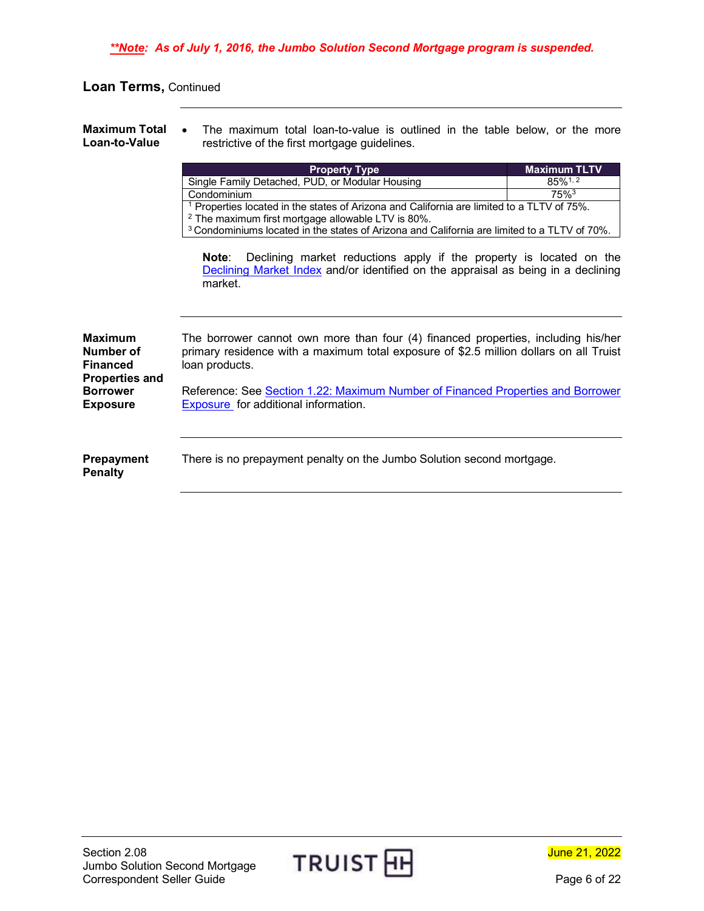<span id="page-5-0"></span>**Maximum Total Loan-to-Value** The maximum total loan-to-value is outlined in the table below, or the more restrictive of the first mortgage guidelines.

<span id="page-5-2"></span><span id="page-5-1"></span>

|                                                                         | <b>Property Type</b>                                                                                                                                                                          | <b>Maximum TLTV</b>    |
|-------------------------------------------------------------------------|-----------------------------------------------------------------------------------------------------------------------------------------------------------------------------------------------|------------------------|
|                                                                         | Single Family Detached, PUD, or Modular Housing                                                                                                                                               | $85\%$ <sup>1, 2</sup> |
|                                                                         | Condominium                                                                                                                                                                                   | $75\%$ <sup>3</sup>    |
|                                                                         | <sup>1</sup> Properties located in the states of Arizona and California are limited to a TLTV of 75%.                                                                                         |                        |
|                                                                         | <sup>2</sup> The maximum first mortgage allowable LTV is 80%.                                                                                                                                 |                        |
|                                                                         | <sup>3</sup> Condominiums located in the states of Arizona and California are limited to a TLTV of 70%.                                                                                       |                        |
|                                                                         | Declining market reductions apply if the property is located on the<br>Note:<br>Declining Market Index and/or identified on the appraisal as being in a declining<br>market.                  |                        |
| <b>Maximum</b><br>Number of<br><b>Financed</b><br><b>Properties and</b> | The borrower cannot own more than four (4) financed properties, including his/her<br>primary residence with a maximum total exposure of \$2.5 million dollars on all Truist<br>loan products. |                        |
| <b>Borrower</b>                                                         | Reference: See Section 1.22: Maximum Number of Financed Properties and Borrower                                                                                                               |                        |
| <b>Exposure</b>                                                         | Exposure for additional information.                                                                                                                                                          |                        |
| <b>Prepayment</b><br><b>Penalty</b>                                     | There is no prepayment penalty on the Jumbo Solution second mortgage.                                                                                                                         |                        |



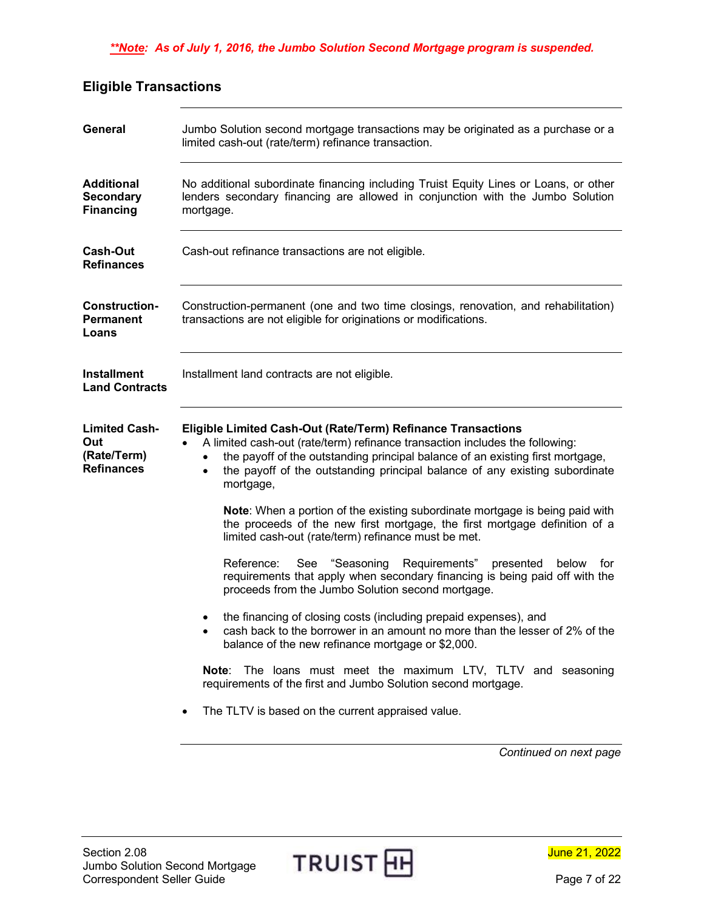## <span id="page-6-0"></span>**Eligible Transactions**

<span id="page-6-6"></span><span id="page-6-5"></span><span id="page-6-4"></span><span id="page-6-3"></span><span id="page-6-2"></span><span id="page-6-1"></span>

| <b>General</b>                                                  | Jumbo Solution second mortgage transactions may be originated as a purchase or a<br>limited cash-out (rate/term) refinance transaction.                                                                                                                                                                                                                                                                                                                                                                                                                                                                                                                                                                                                                                                                                                                                                                                                                                                                                                                                                                                                                                             |
|-----------------------------------------------------------------|-------------------------------------------------------------------------------------------------------------------------------------------------------------------------------------------------------------------------------------------------------------------------------------------------------------------------------------------------------------------------------------------------------------------------------------------------------------------------------------------------------------------------------------------------------------------------------------------------------------------------------------------------------------------------------------------------------------------------------------------------------------------------------------------------------------------------------------------------------------------------------------------------------------------------------------------------------------------------------------------------------------------------------------------------------------------------------------------------------------------------------------------------------------------------------------|
| <b>Additional</b><br><b>Secondary</b><br><b>Financing</b>       | No additional subordinate financing including Truist Equity Lines or Loans, or other<br>lenders secondary financing are allowed in conjunction with the Jumbo Solution<br>mortgage.                                                                                                                                                                                                                                                                                                                                                                                                                                                                                                                                                                                                                                                                                                                                                                                                                                                                                                                                                                                                 |
| <b>Cash-Out</b><br><b>Refinances</b>                            | Cash-out refinance transactions are not eligible.                                                                                                                                                                                                                                                                                                                                                                                                                                                                                                                                                                                                                                                                                                                                                                                                                                                                                                                                                                                                                                                                                                                                   |
| <b>Construction-</b><br><b>Permanent</b><br>Loans               | Construction-permanent (one and two time closings, renovation, and rehabilitation)<br>transactions are not eligible for originations or modifications.                                                                                                                                                                                                                                                                                                                                                                                                                                                                                                                                                                                                                                                                                                                                                                                                                                                                                                                                                                                                                              |
| <b>Installment</b><br><b>Land Contracts</b>                     | Installment land contracts are not eligible.                                                                                                                                                                                                                                                                                                                                                                                                                                                                                                                                                                                                                                                                                                                                                                                                                                                                                                                                                                                                                                                                                                                                        |
| <b>Limited Cash-</b><br>Out<br>(Rate/Term)<br><b>Refinances</b> | Eligible Limited Cash-Out (Rate/Term) Refinance Transactions<br>A limited cash-out (rate/term) refinance transaction includes the following:<br>the payoff of the outstanding principal balance of an existing first mortgage,<br>the payoff of the outstanding principal balance of any existing subordinate<br>$\bullet$<br>mortgage,<br>Note: When a portion of the existing subordinate mortgage is being paid with<br>the proceeds of the new first mortgage, the first mortgage definition of a<br>limited cash-out (rate/term) refinance must be met.<br>"Seasoning<br>Requirements"<br>Reference:<br>See<br>presented<br>for<br>below<br>requirements that apply when secondary financing is being paid off with the<br>proceeds from the Jumbo Solution second mortgage.<br>the financing of closing costs (including prepaid expenses), and<br>cash back to the borrower in an amount no more than the lesser of 2% of the<br>balance of the new refinance mortgage or \$2,000.<br>The loans must meet the maximum LTV, TLTV and seasoning<br>Note:<br>requirements of the first and Jumbo Solution second mortgage.<br>The TLTV is based on the current appraised value. |
|                                                                 | Continued on next page                                                                                                                                                                                                                                                                                                                                                                                                                                                                                                                                                                                                                                                                                                                                                                                                                                                                                                                                                                                                                                                                                                                                                              |

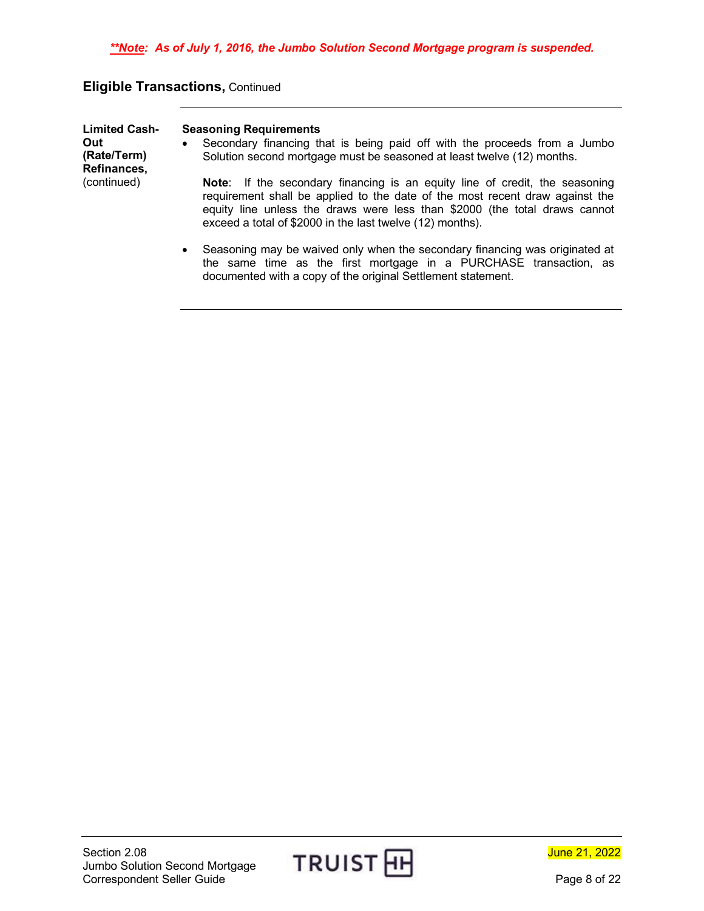## **Eligible Transactions,** Continued

| <b>Limited Cash-</b><br>Out<br>(Rate/Term)<br>Refinances, | <b>Seasoning Requirements</b><br>Secondary financing that is being paid off with the proceeds from a Jumbo<br>$\bullet$<br>Solution second mortgage must be seasoned at least twelve (12) months.                                                                                                      |
|-----------------------------------------------------------|--------------------------------------------------------------------------------------------------------------------------------------------------------------------------------------------------------------------------------------------------------------------------------------------------------|
| (continued)                                               | Note: If the secondary financing is an equity line of credit, the seasoning<br>requirement shall be applied to the date of the most recent draw against the<br>equity line unless the draws were less than \$2000 (the total draws cannot<br>exceed a total of \$2000 in the last twelve (12) months). |
|                                                           | Seasoning may be waived only when the secondary financing was originated at<br>$\bullet$<br>the same time as the first mortgage in a PURCHASE transaction, as                                                                                                                                          |

documented with a copy of the original Settlement statement.



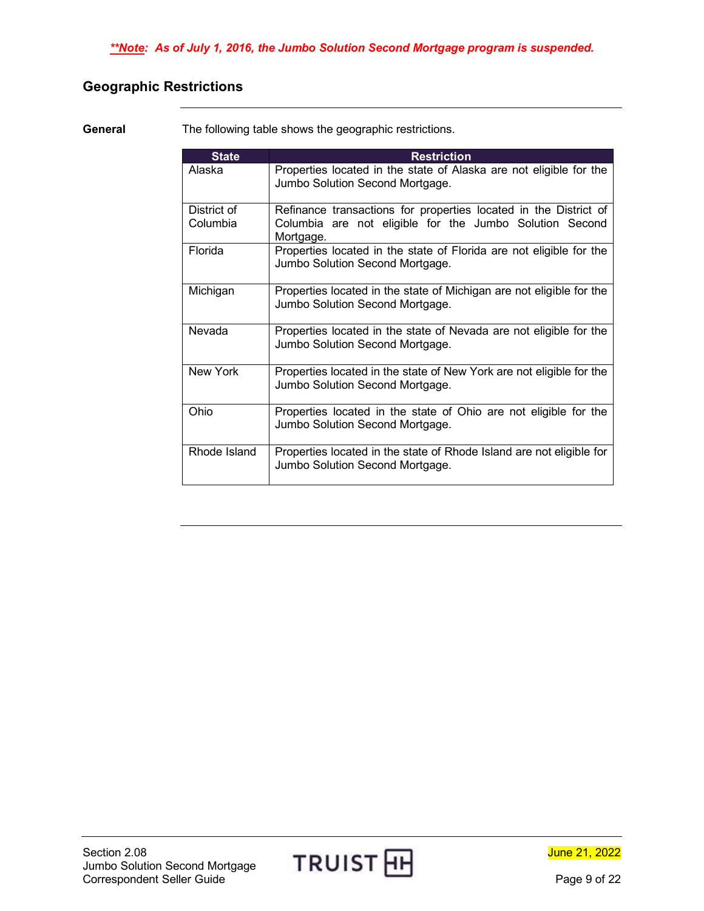## <span id="page-8-0"></span>**Geographic Restrictions**

<span id="page-8-1"></span>**General** The following table shows the geographic restrictions.

| <b>State</b>            | <b>Restriction</b>                                                                                                                       |
|-------------------------|------------------------------------------------------------------------------------------------------------------------------------------|
| Alaska                  | Properties located in the state of Alaska are not eligible for the<br>Jumbo Solution Second Mortgage.                                    |
| District of<br>Columbia | Refinance transactions for properties located in the District of<br>Columbia are not eligible for the Jumbo Solution Second<br>Mortgage. |
| Florida                 | Properties located in the state of Florida are not eligible for the<br>Jumbo Solution Second Mortgage.                                   |
| Michigan                | Properties located in the state of Michigan are not eligible for the<br>Jumbo Solution Second Mortgage.                                  |
| Nevada                  | Properties located in the state of Nevada are not eligible for the<br>Jumbo Solution Second Mortgage.                                    |
| New York                | Properties located in the state of New York are not eligible for the<br>Jumbo Solution Second Mortgage.                                  |
| Ohio                    | Properties located in the state of Ohio are not eligible for the<br>Jumbo Solution Second Mortgage.                                      |
| Rhode Island            | Properties located in the state of Rhode Island are not eligible for<br>Jumbo Solution Second Mortgage.                                  |



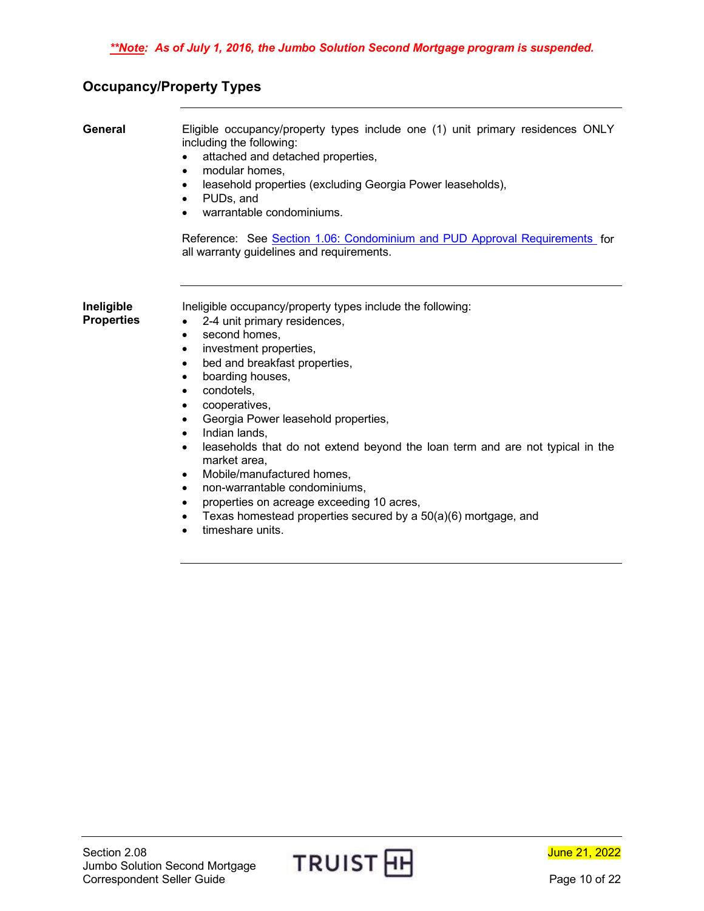## <span id="page-9-0"></span>**Occupancy/Property Types**

<span id="page-9-2"></span><span id="page-9-1"></span>

| General                         | Eligible occupancy/property types include one (1) unit primary residences ONLY<br>including the following:<br>attached and detached properties,<br>modular homes,<br>٠<br>leasehold properties (excluding Georgia Power leaseholds),<br>$\bullet$<br>PUDs, and<br>$\bullet$<br>warrantable condominiums.<br>Reference: See Section 1.06: Condominium and PUD Approval Requirements for<br>all warranty guidelines and requirements.                                                                                                                                                                                                                                                                                                                                     |
|---------------------------------|-------------------------------------------------------------------------------------------------------------------------------------------------------------------------------------------------------------------------------------------------------------------------------------------------------------------------------------------------------------------------------------------------------------------------------------------------------------------------------------------------------------------------------------------------------------------------------------------------------------------------------------------------------------------------------------------------------------------------------------------------------------------------|
| Ineligible<br><b>Properties</b> | Ineligible occupancy/property types include the following:<br>2-4 unit primary residences,<br>$\bullet$<br>second homes,<br>$\bullet$<br>investment properties,<br>$\bullet$<br>bed and breakfast properties,<br>$\bullet$<br>boarding houses,<br>$\bullet$<br>condotels,<br>$\bullet$<br>cooperatives,<br>٠<br>Georgia Power leasehold properties,<br>$\bullet$<br>Indian lands,<br>$\bullet$<br>leaseholds that do not extend beyond the loan term and are not typical in the<br>٠<br>market area,<br>Mobile/manufactured homes,<br>$\bullet$<br>non-warrantable condominiums,<br>$\bullet$<br>properties on acreage exceeding 10 acres,<br>$\bullet$<br>Texas homestead properties secured by a 50(a)(6) mortgage, and<br>$\bullet$<br>timeshare units.<br>$\bullet$ |



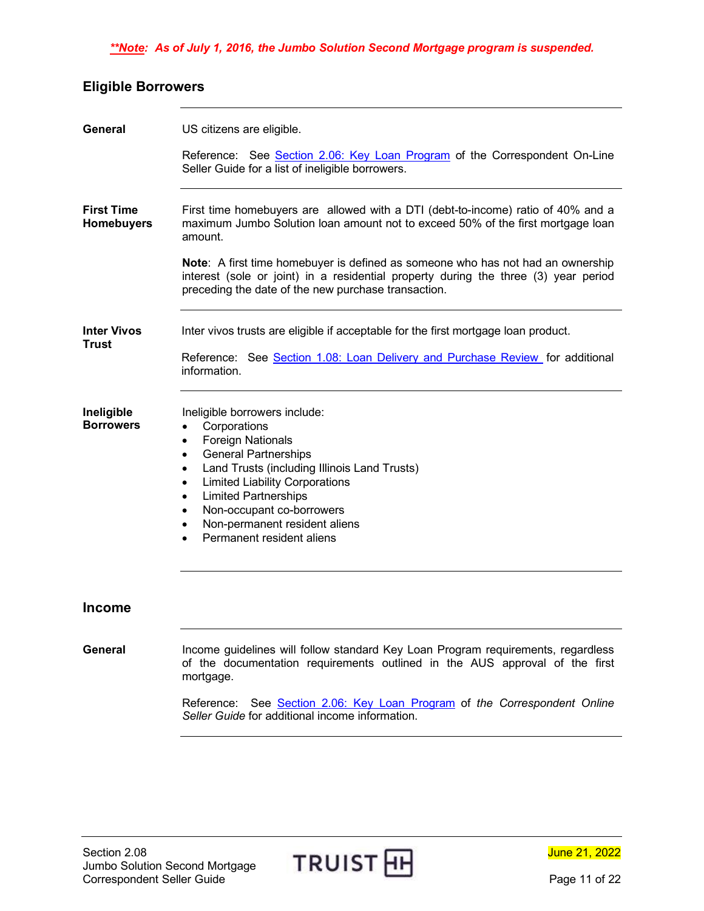### *\*\*Note: As of July 1, 2016, the Jumbo Solution Second Mortgage program is suspended.*

## <span id="page-10-0"></span>**Eligible Borrowers**

<span id="page-10-4"></span><span id="page-10-3"></span><span id="page-10-2"></span><span id="page-10-1"></span>

| General                                | US citizens are eligible.                                                                                                                                                                                                                                                                                                                                                                                                                        |
|----------------------------------------|--------------------------------------------------------------------------------------------------------------------------------------------------------------------------------------------------------------------------------------------------------------------------------------------------------------------------------------------------------------------------------------------------------------------------------------------------|
|                                        | Reference: See Section 2.06: Key Loan Program of the Correspondent On-Line<br>Seller Guide for a list of ineligible borrowers.                                                                                                                                                                                                                                                                                                                   |
| <b>First Time</b><br><b>Homebuyers</b> | First time homebuyers are allowed with a DTI (debt-to-income) ratio of 40% and a<br>maximum Jumbo Solution loan amount not to exceed 50% of the first mortgage loan<br>amount.                                                                                                                                                                                                                                                                   |
|                                        | Note: A first time homebuyer is defined as someone who has not had an ownership<br>interest (sole or joint) in a residential property during the three (3) year period<br>preceding the date of the new purchase transaction.                                                                                                                                                                                                                    |
| <b>Inter Vivos</b>                     | Inter vivos trusts are eligible if acceptable for the first mortgage loan product.                                                                                                                                                                                                                                                                                                                                                               |
| Trust                                  | Reference: See Section 1.08: Loan Delivery and Purchase Review for additional<br>information.                                                                                                                                                                                                                                                                                                                                                    |
| Ineligible<br><b>Borrowers</b>         | Ineligible borrowers include:<br>Corporations<br>$\bullet$<br><b>Foreign Nationals</b><br>$\bullet$<br><b>General Partnerships</b><br>$\bullet$<br>Land Trusts (including Illinois Land Trusts)<br>$\bullet$<br><b>Limited Liability Corporations</b><br>$\bullet$<br><b>Limited Partnerships</b><br>$\bullet$<br>Non-occupant co-borrowers<br>$\bullet$<br>Non-permanent resident aliens<br>$\bullet$<br>Permanent resident aliens<br>$\bullet$ |
| <b>Income</b>                          |                                                                                                                                                                                                                                                                                                                                                                                                                                                  |
| General                                | Income guidelines will follow standard Key Loan Program requirements, regardless<br>of the documentation requirements outlined in the AUS approval of the first<br>mortgage.                                                                                                                                                                                                                                                                     |
|                                        | Reference: See Section 2.06: Key Loan Program of the Correspondent Online<br>Seller Guide for additional income information.                                                                                                                                                                                                                                                                                                                     |

<span id="page-10-6"></span><span id="page-10-5"></span>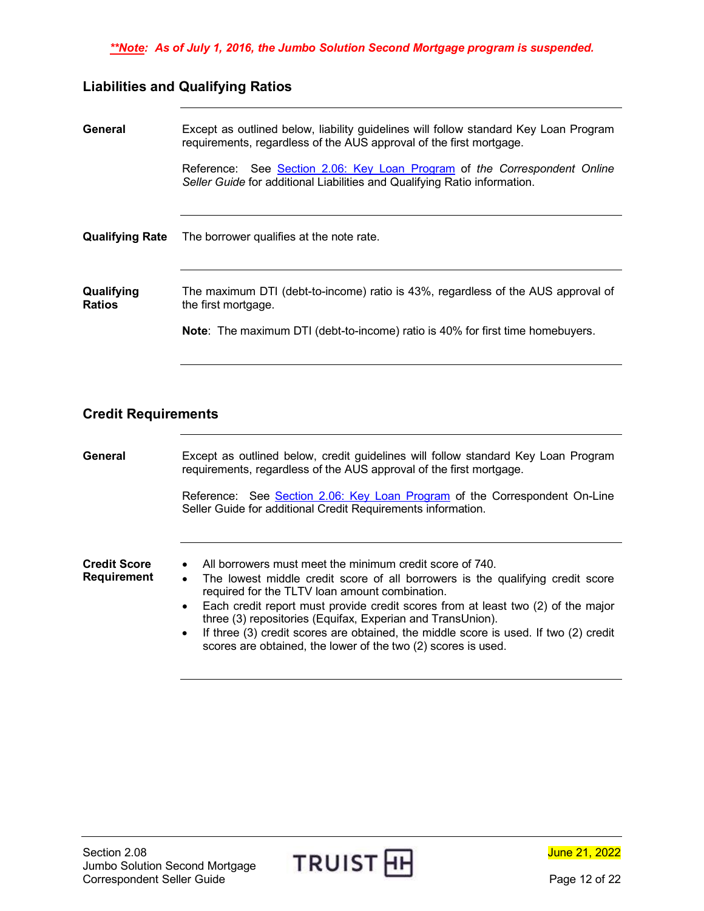## <span id="page-11-0"></span>**Liabilities and Qualifying Ratios**

<span id="page-11-2"></span><span id="page-11-1"></span>

| General                     | Except as outlined below, liability guidelines will follow standard Key Loan Program<br>requirements, regardless of the AUS approval of the first mortgage.                                      |
|-----------------------------|--------------------------------------------------------------------------------------------------------------------------------------------------------------------------------------------------|
|                             | See Section 2.06: Key Loan Program of the Correspondent Online<br>Reference:<br>Seller Guide for additional Liabilities and Qualifying Ratio information.                                        |
| <b>Qualifying Rate</b>      | The borrower qualifies at the note rate.                                                                                                                                                         |
| Qualifying<br><b>Ratios</b> | The maximum DTI (debt-to-income) ratio is 43%, regardless of the AUS approval of<br>the first mortgage.<br><b>Note:</b> The maximum DTI (debt-to-income) ratio is 40% for first time homebuyers. |
|                             |                                                                                                                                                                                                  |

## <span id="page-11-4"></span><span id="page-11-3"></span>**Credit Requirements**

<span id="page-11-6"></span><span id="page-11-5"></span>

| General                            | Except as outlined below, credit guidelines will follow standard Key Loan Program<br>requirements, regardless of the AUS approval of the first mortgage.                                                                                                                                                                                                                                                                                                                                                                          |
|------------------------------------|-----------------------------------------------------------------------------------------------------------------------------------------------------------------------------------------------------------------------------------------------------------------------------------------------------------------------------------------------------------------------------------------------------------------------------------------------------------------------------------------------------------------------------------|
|                                    | Reference: See Section 2.06: Key Loan Program of the Correspondent On-Line<br>Seller Guide for additional Credit Requirements information.                                                                                                                                                                                                                                                                                                                                                                                        |
| <b>Credit Score</b><br>Requirement | All borrowers must meet the minimum credit score of 740.<br>The lowest middle credit score of all borrowers is the qualifying credit score<br>$\bullet$<br>required for the TLTV loan amount combination.<br>Each credit report must provide credit scores from at least two (2) of the major<br>three (3) repositories (Equifax, Experian and TransUnion).<br>If three (3) credit scores are obtained, the middle score is used. If two (2) credit<br>$\bullet$<br>scores are obtained, the lower of the two (2) scores is used. |



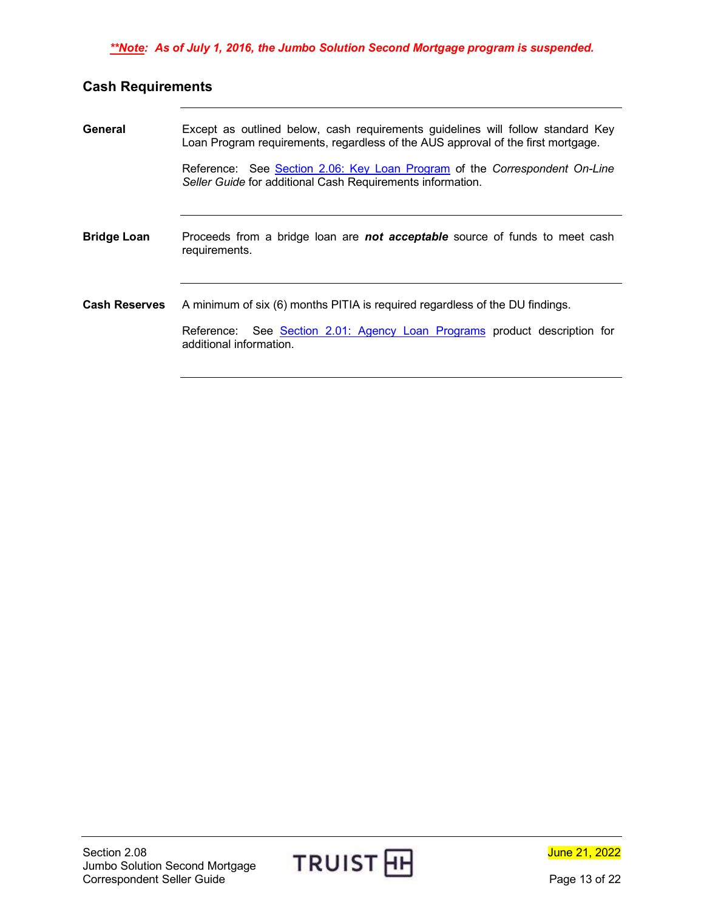## <span id="page-12-0"></span>**Cash Requirements**

<span id="page-12-3"></span><span id="page-12-2"></span><span id="page-12-1"></span>

| General              | Except as outlined below, cash requirements guidelines will follow standard Key<br>Loan Program requirements, regardless of the AUS approval of the first mortgage.                  |  |  |
|----------------------|--------------------------------------------------------------------------------------------------------------------------------------------------------------------------------------|--|--|
|                      | Reference: See Section 2.06: Key Loan Program of the Correspondent On-Line<br>Seller Guide for additional Cash Requirements information.                                             |  |  |
| <b>Bridge Loan</b>   | Proceeds from a bridge loan are <b>not acceptable</b> source of funds to meet cash<br>requirements.                                                                                  |  |  |
| <b>Cash Reserves</b> | A minimum of six (6) months PITIA is required regardless of the DU findings.<br>Reference: See Section 2.01: Agency Loan Programs product description for<br>additional information. |  |  |

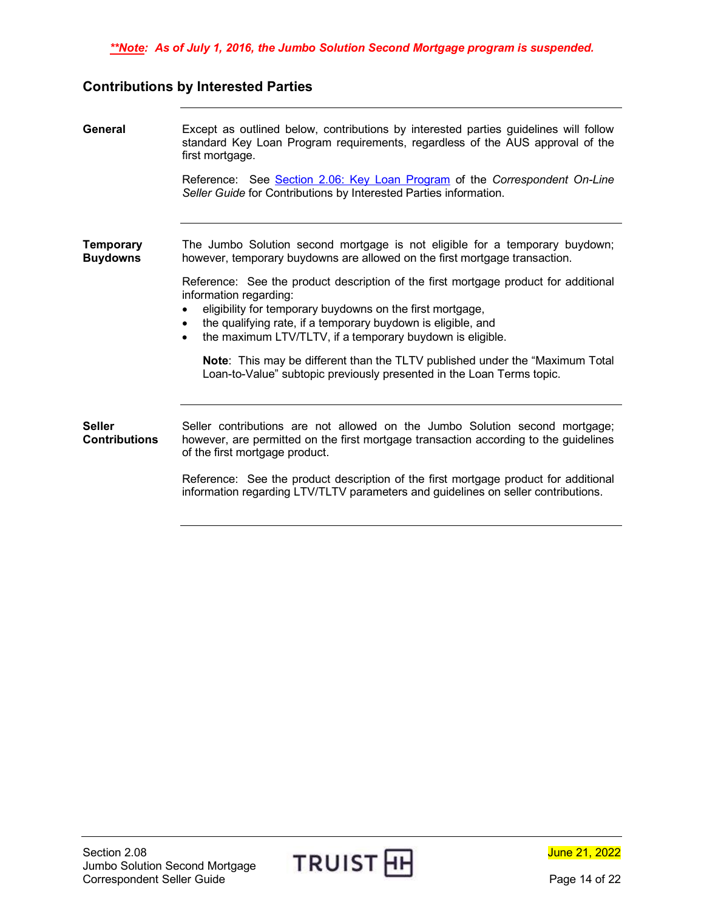#### <span id="page-13-0"></span>**Contributions by Interested Parties**

<span id="page-13-3"></span><span id="page-13-2"></span><span id="page-13-1"></span>**General** Except as outlined below, contributions by interested parties guidelines will follow standard Key Loan Program requirements, regardless of the AUS approval of the first mortgage. Reference: See [Section 2.06: Key Loan Program](https://www.truistsellerguide.com/manual/cor/products/CKey.pdf) of the *Correspondent On-Line Seller Guide* for Contributions by Interested Parties information. **Temporary Buydowns** The Jumbo Solution second mortgage is not eligible for a temporary buydown; however, temporary buydowns are allowed on the first mortgage transaction. Reference: See the product description of the first mortgage product for additional information regarding: • eligibility for temporary buydowns on the first mortgage, • the qualifying rate, if a temporary buydown is eligible, and the maximum LTV/TLTV, if a temporary buydown is eligible. **Note**: This may be different than the TLTV published under the "Maximum Total Loan-to-Value" subtopic previously presented in the Loan Terms topic. **Seller Contributions** Seller contributions are not allowed on the Jumbo Solution second mortgage; however, are permitted on the first mortgage transaction according to the guidelines of the first mortgage product. Reference: See the product description of the first mortgage product for additional information regarding LTV/TLTV parameters and guidelines on seller contributions.



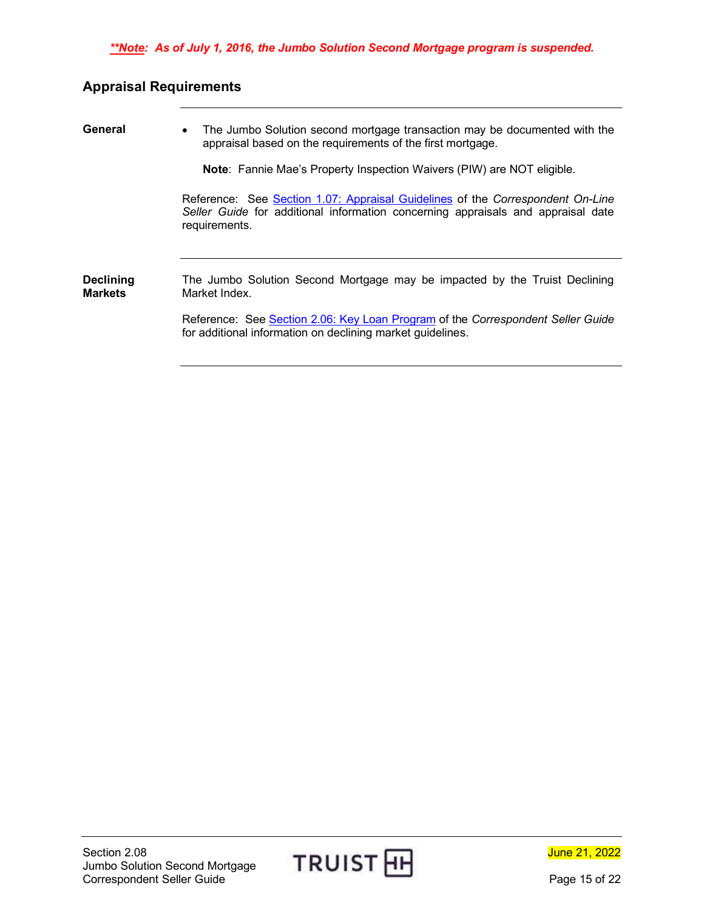## <span id="page-14-0"></span>**Appraisal Requirements**

<span id="page-14-2"></span><span id="page-14-1"></span>

| General                            | The Jumbo Solution second mortgage transaction may be documented with the<br>$\bullet$<br>appraisal based on the requirements of the first mortgage.                                |  |
|------------------------------------|-------------------------------------------------------------------------------------------------------------------------------------------------------------------------------------|--|
|                                    | <b>Note:</b> Fannie Mae's Property Inspection Waivers (PIW) are NOT eligible.                                                                                                       |  |
|                                    | Reference: See Section 1.07: Appraisal Guidelines of the Correspondent On-Line<br>Seller Guide for additional information concerning appraisals and appraisal date<br>requirements. |  |
| <b>Declining</b><br><b>Markets</b> | The Jumbo Solution Second Mortgage may be impacted by the Truist Declining<br>Market Index.                                                                                         |  |
|                                    | Reference: See Section 2.06: Key Loan Program of the Correspondent Seller Guide<br>for additional information on declining market guidelines.                                       |  |



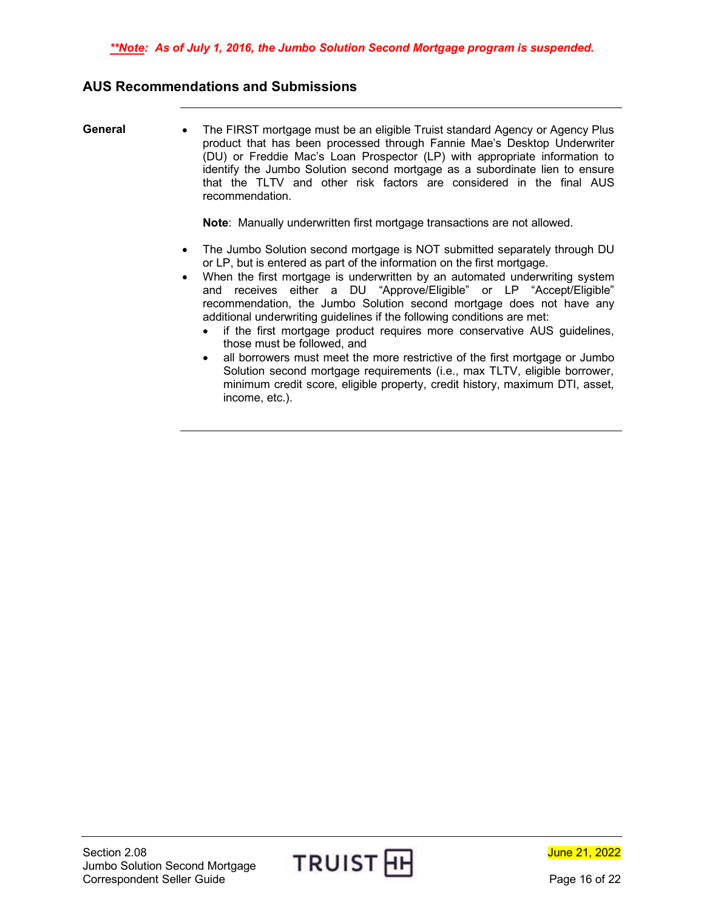### <span id="page-15-0"></span>**AUS Recommendations and Submissions**

<span id="page-15-1"></span>**General** • The FIRST mortgage must be an eligible Truist standard Agency or Agency Plus product that has been processed through Fannie Mae's Desktop Underwriter (DU) or Freddie Mac's Loan Prospector (LP) with appropriate information to identify the Jumbo Solution second mortgage as a subordinate lien to ensure that the TLTV and other risk factors are considered in the final AUS recommendation.

**Note**: Manually underwritten first mortgage transactions are not allowed.

- The Jumbo Solution second mortgage is NOT submitted separately through DU or LP, but is entered as part of the information on the first mortgage.
- When the first mortgage is underwritten by an automated underwriting system and receives either a DU "Approve/Eligible" or LP "Accept/Eligible" recommendation, the Jumbo Solution second mortgage does not have any additional underwriting guidelines if the following conditions are met:
	- if the first mortgage product requires more conservative AUS quidelines, those must be followed, and
	- all borrowers must meet the more restrictive of the first mortgage or Jumbo Solution second mortgage requirements (i.e., max TLTV, eligible borrower, minimum credit score, eligible property, credit history, maximum DTI, asset, income, etc.).



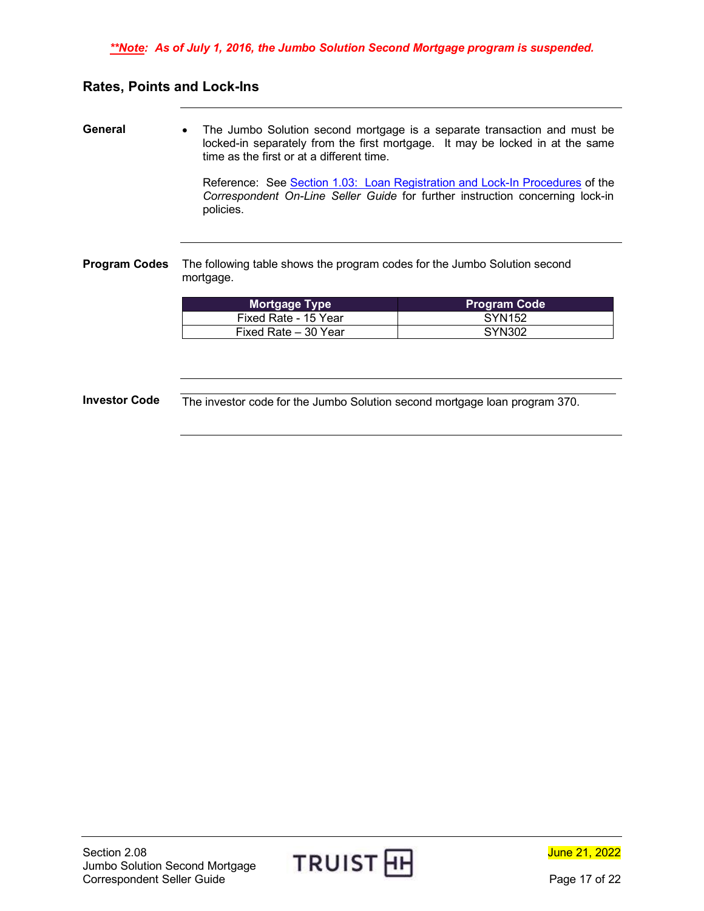### <span id="page-16-0"></span>**Rates, Points and Lock-Ins**

<span id="page-16-1"></span>**General** • The Jumbo Solution second mortgage is a separate transaction and must be locked-in separately from the first mortgage. It may be locked in at the same time as the first or at a different time.

> Reference: See [Section 1.03: Loan Registration and Lock-In Procedures](https://www.truistsellerguide.com/manual/cor/general/1.03lockin.pdf) of the *Correspondent On-Line Seller Guide* for further instruction concerning lock-in policies.

<span id="page-16-2"></span>**Program Codes** The following table shows the program codes for the Jumbo Solution second mortgage.

| <b>Mortgage Type</b> | <b>Program Code</b> |
|----------------------|---------------------|
| Fixed Rate - 15 Year | SYN152              |
| Fixed Rate – 30 Year | SYN302              |

<span id="page-16-3"></span>**Investor Code** The investor code for the Jumbo Solution second mortgage loan program 370.

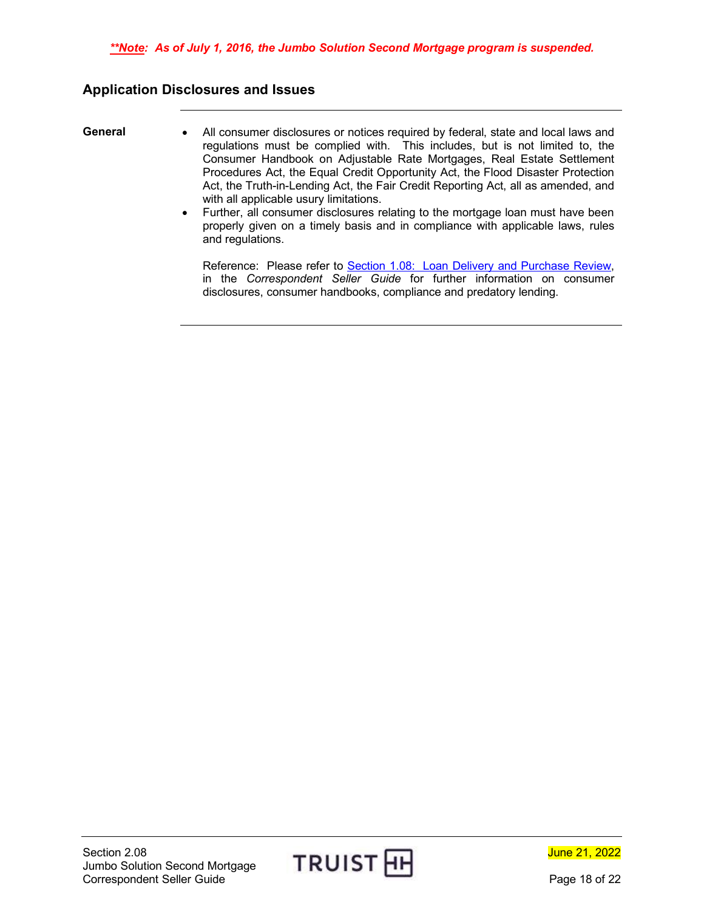### <span id="page-17-0"></span>**Application Disclosures and Issues**

- <span id="page-17-1"></span>**General** • All consumer disclosures or notices required by federal, state and local laws and regulations must be complied with. This includes, but is not limited to, the Consumer Handbook on Adjustable Rate Mortgages, Real Estate Settlement Procedures Act, the Equal Credit Opportunity Act, the Flood Disaster Protection Act, the Truth-in-Lending Act, the Fair Credit Reporting Act, all as amended, and with all applicable usury limitations.
	- Further, all consumer disclosures relating to the mortgage loan must have been properly given on a timely basis and in compliance with applicable laws, rules and regulations.

Reference: Please refer to [Section 1.08: Loan Delivery and Purchase Review,](https://www.truistsellerguide.com/manual/cor/general/1.08LoanDel.pdf) in the *Correspondent Seller Guide* for further information on consumer disclosures, consumer handbooks, compliance and predatory lending.

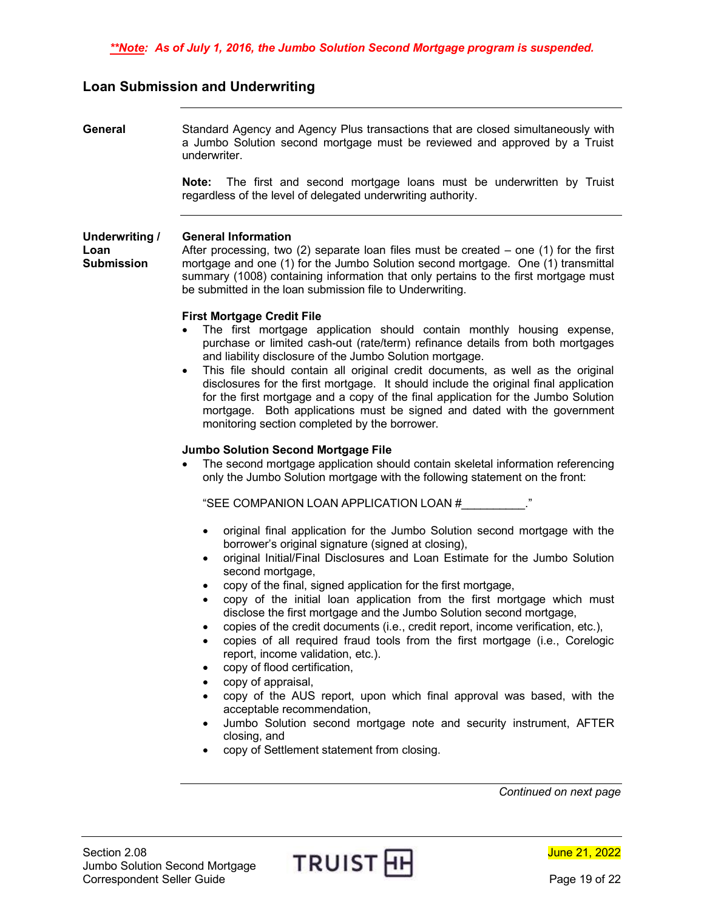#### <span id="page-18-0"></span>**Loan Submission and Underwriting**

<span id="page-18-1"></span>**General** Standard Agency and Agency Plus transactions that are closed simultaneously with a Jumbo Solution second mortgage must be reviewed and approved by a Truist underwriter.

> **Note:** The first and second mortgage loans must be underwritten by Truist regardless of the level of delegated underwriting authority.

<span id="page-18-2"></span>**Underwriting / Loan Submission General Information** After processing, two  $(2)$  separate loan files must be created – one  $(1)$  for the first mortgage and one (1) for the Jumbo Solution second mortgage. One (1) transmittal summary (1008) containing information that only pertains to the first mortgage must be submitted in the loan submission file to Underwriting.

#### **First Mortgage Credit File**

- The first mortgage application should contain monthly housing expense, purchase or limited cash-out (rate/term) refinance details from both mortgages and liability disclosure of the Jumbo Solution mortgage.
- This file should contain all original credit documents, as well as the original disclosures for the first mortgage. It should include the original final application for the first mortgage and a copy of the final application for the Jumbo Solution mortgage. Both applications must be signed and dated with the government monitoring section completed by the borrower.

#### **Jumbo Solution Second Mortgage File**

• The second mortgage application should contain skeletal information referencing only the Jumbo Solution mortgage with the following statement on the front:

"SEE COMPANION LOAN APPLICATION LOAN #\_\_\_\_\_\_\_\_\_\_."

- original final application for the Jumbo Solution second mortgage with the borrower's original signature (signed at closing),
- original Initial/Final Disclosures and Loan Estimate for the Jumbo Solution second mortgage,
- copy of the final, signed application for the first mortgage,
- copy of the initial loan application from the first mortgage which must disclose the first mortgage and the Jumbo Solution second mortgage,
- copies of the credit documents (i.e., credit report, income verification, etc.),
- copies of all required fraud tools from the first mortgage (i.e., Corelogic report, income validation, etc.).
- copy of flood certification,
- copy of appraisal,
- copy of the AUS report, upon which final approval was based, with the acceptable recommendation,
- Jumbo Solution second mortgage note and security instrument, AFTER closing, and
- copy of Settlement statement from closing.

Section 2.08 Jumbo Solution Second Mortgage Section 2.08<br>Jumbo Solution Second Mortgage TRUIST HH<br>Correspondent Seller Guide Page 19 of 22

June 21, 2022

*Continued on next page*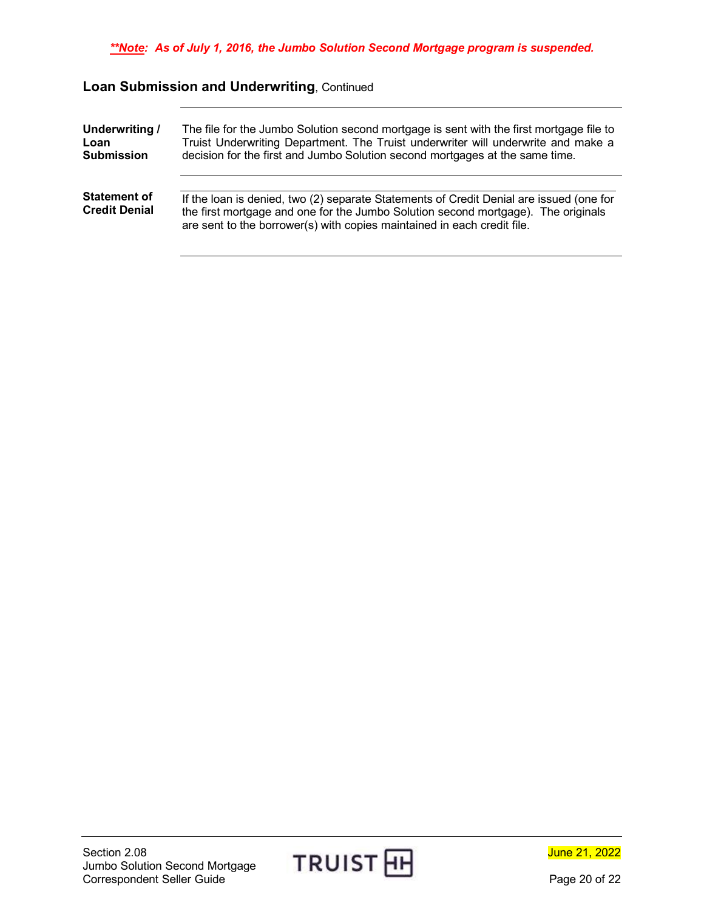## **Loan Submission and Underwriting**, Continued

<span id="page-19-1"></span><span id="page-19-0"></span>

| Underwriting /                              | The file for the Jumbo Solution second mortgage is sent with the first mortgage file to                                                                                                                                                                 |  |
|---------------------------------------------|---------------------------------------------------------------------------------------------------------------------------------------------------------------------------------------------------------------------------------------------------------|--|
| Loan                                        | Truist Underwriting Department. The Truist underwriter will underwrite and make a                                                                                                                                                                       |  |
| <b>Submission</b>                           | decision for the first and Jumbo Solution second mortgages at the same time.                                                                                                                                                                            |  |
| <b>Statement of</b><br><b>Credit Denial</b> | If the loan is denied, two (2) separate Statements of Credit Denial are issued (one for<br>the first mortgage and one for the Jumbo Solution second mortgage). The originals<br>are sent to the borrower(s) with copies maintained in each credit file. |  |

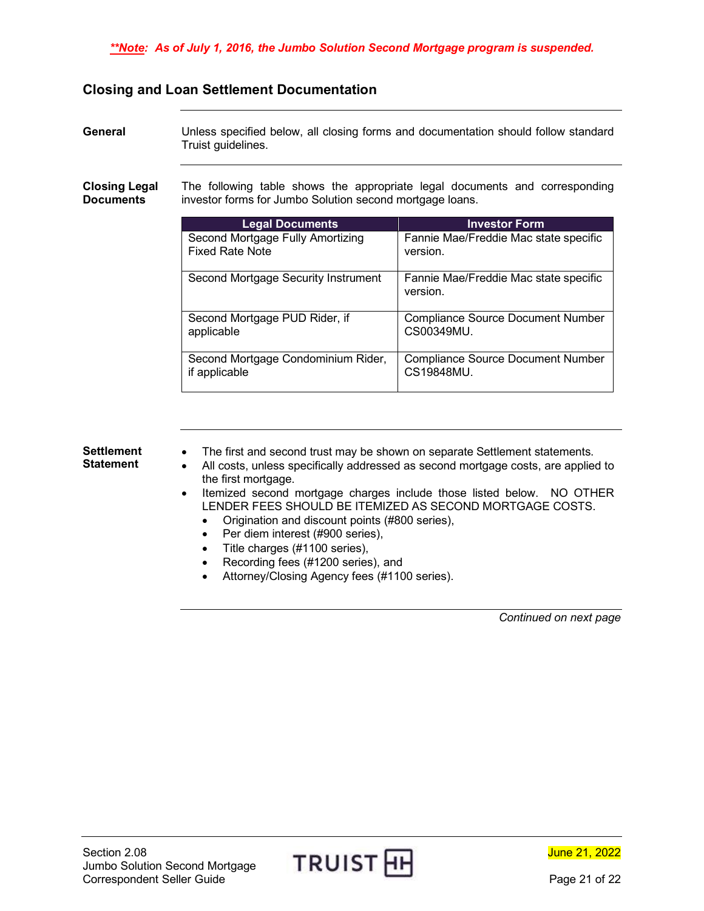### <span id="page-20-0"></span>**Closing and Loan Settlement Documentation**

<span id="page-20-2"></span><span id="page-20-1"></span>

| General                                  | Unless specified below, all closing forms and documentation should follow standard<br>Truist guidelines.                                |                                                        |  |
|------------------------------------------|-----------------------------------------------------------------------------------------------------------------------------------------|--------------------------------------------------------|--|
| <b>Closing Legal</b><br><b>Documents</b> | The following table shows the appropriate legal documents and corresponding<br>investor forms for Jumbo Solution second mortgage loans. |                                                        |  |
|                                          | <b>Legal Documents</b>                                                                                                                  | <b>Investor Form</b>                                   |  |
|                                          | Second Mortgage Fully Amortizing<br><b>Fixed Rate Note</b>                                                                              | Fannie Mae/Freddie Mac state specific<br>version.      |  |
|                                          | Second Mortgage Security Instrument                                                                                                     | Fannie Mae/Freddie Mac state specific<br>version.      |  |
|                                          | Second Mortgage PUD Rider, if<br>applicable                                                                                             | <b>Compliance Source Document Number</b><br>CS00349MU. |  |
|                                          | Second Mortgage Condominium Rider,<br>if applicable                                                                                     | <b>Compliance Source Document Number</b><br>CS19848MU. |  |
|                                          |                                                                                                                                         |                                                        |  |

#### <span id="page-20-3"></span>**Settlement Statement**

- The first and second trust may be shown on separate Settlement statements.
- All costs, unless specifically addressed as second mortgage costs, are applied to the first mortgage.
- Itemized second mortgage charges include those listed below. NO OTHER LENDER FEES SHOULD BE ITEMIZED AS SECOND MORTGAGE COSTS.
	- Origination and discount points (#800 series),
	- Per diem interest (#900 series),
	- Title charges (#1100 series),
	- Recording fees (#1200 series), and
	- Attorney/Closing Agency fees (#1100 series).

*Continued on next page*